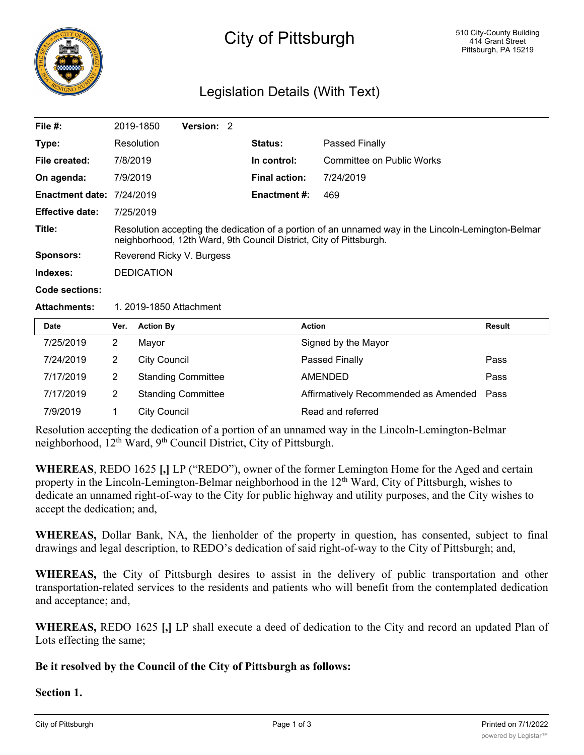

# City of Pittsburgh

## Legislation Details (With Text)

| File $#$ :                       |                                                                                                                                                                          | 2019-1850           | Version: 2                |  |                      |                                  |        |
|----------------------------------|--------------------------------------------------------------------------------------------------------------------------------------------------------------------------|---------------------|---------------------------|--|----------------------|----------------------------------|--------|
| Type:                            |                                                                                                                                                                          | Resolution          |                           |  | Status:              | Passed Finally                   |        |
| File created:                    | 7/8/2019                                                                                                                                                                 |                     |                           |  | In control:          | <b>Committee on Public Works</b> |        |
| On agenda:                       | 7/9/2019                                                                                                                                                                 |                     |                           |  | <b>Final action:</b> | 7/24/2019                        |        |
| <b>Enactment date: 7/24/2019</b> |                                                                                                                                                                          |                     |                           |  | <b>Enactment #:</b>  | 469                              |        |
| <b>Effective date:</b>           | 7/25/2019                                                                                                                                                                |                     |                           |  |                      |                                  |        |
| Title:                           | Resolution accepting the dedication of a portion of an unnamed way in the Lincoln-Lemington-Belmar<br>neighborhood, 12th Ward, 9th Council District, City of Pittsburgh. |                     |                           |  |                      |                                  |        |
| <b>Sponsors:</b>                 | Reverend Ricky V. Burgess                                                                                                                                                |                     |                           |  |                      |                                  |        |
| Indexes:                         | <b>DEDICATION</b>                                                                                                                                                        |                     |                           |  |                      |                                  |        |
| Code sections:                   |                                                                                                                                                                          |                     |                           |  |                      |                                  |        |
| <b>Attachments:</b>              | 1. 2019-1850 Attachment                                                                                                                                                  |                     |                           |  |                      |                                  |        |
| Date                             | Ver.                                                                                                                                                                     | <b>Action By</b>    |                           |  |                      | <b>Action</b>                    | Result |
| 7/25/2019                        | $\overline{2}$                                                                                                                                                           | Mayor               |                           |  |                      | Signed by the Mayor              |        |
| 7/24/2019                        | $\overline{2}$                                                                                                                                                           | <b>City Council</b> |                           |  |                      | Passed Finally                   | Pass   |
| 7/17/2019                        | $\overline{2}$                                                                                                                                                           |                     | <b>Standing Committee</b> |  |                      | AMENDED                          | Pass   |

Resolution accepting the dedication of a portion of an unnamed way in the Lincoln-Lemington-Belmar neighborhood, 12th Ward, 9th Council District, City of Pittsburgh.

7/9/2019 1 City Council Read and referred

7/17/2019 2 Standing Committee **Affirmatively Recommended as Amended Pass** 

**WHEREAS**, REDO 1625 **[,]** LP ("REDO"), owner of the former Lemington Home for the Aged and certain property in the Lincoln-Lemington-Belmar neighborhood in the  $12<sup>th</sup>$  Ward, City of Pittsburgh, wishes to dedicate an unnamed right-of-way to the City for public highway and utility purposes, and the City wishes to accept the dedication; and,

**WHEREAS,** Dollar Bank, NA, the lienholder of the property in question, has consented, subject to final drawings and legal description, to REDO's dedication of said right-of-way to the City of Pittsburgh; and,

**WHEREAS,** the City of Pittsburgh desires to assist in the delivery of public transportation and other transportation-related services to the residents and patients who will benefit from the contemplated dedication and acceptance; and,

**WHEREAS,** REDO 1625 **[,]** LP shall execute a deed of dedication to the City and record an updated Plan of Lots effecting the same;

### **Be it resolved by the Council of the City of Pittsburgh as follows:**

#### **Section 1.**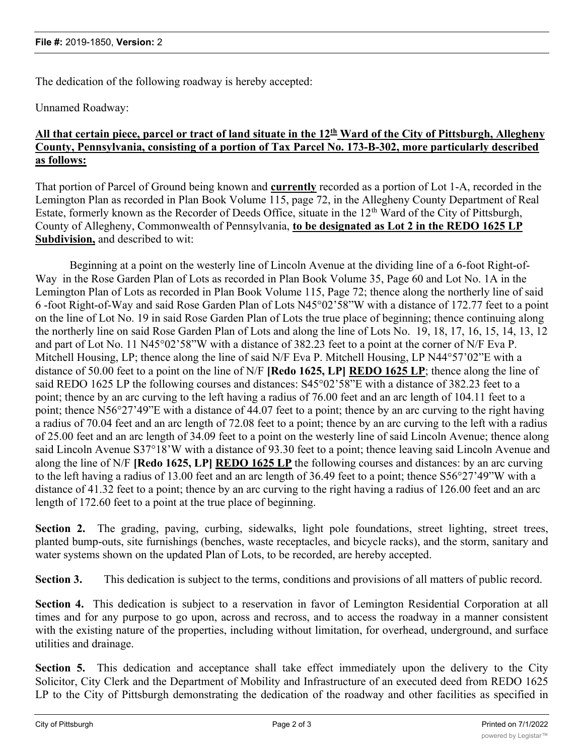The dedication of the following roadway is hereby accepted:

Unnamed Roadway:

#### All that certain piece, parcel or tract of land situate in the 12<sup>th</sup> Ward of the City of Pittsburgh, Allegheny **County, Pennsylvania, consisting of a portion of Tax Parcel No. 173-B-302, more particularly described as follows:**

That portion of Parcel of Ground being known and **currently** recorded as a portion of Lot 1-A, recorded in the Lemington Plan as recorded in Plan Book Volume 115, page 72, in the Allegheny County Department of Real Estate, formerly known as the Recorder of Deeds Office, situate in the  $12<sup>th</sup>$  Ward of the City of Pittsburgh, County of Allegheny, Commonwealth of Pennsylvania, **to be designated as Lot 2 in the REDO 1625 LP Subdivision,** and described to wit:

Beginning at a point on the westerly line of Lincoln Avenue at the dividing line of a 6-foot Right-of-Way in the Rose Garden Plan of Lots as recorded in Plan Book Volume 35, Page 60 and Lot No. 1A in the Lemington Plan of Lots as recorded in Plan Book Volume 115, Page 72; thence along the northerly line of said 6 -foot Right-of-Way and said Rose Garden Plan of Lots N45°02'58"W with a distance of 172.77 feet to a point on the line of Lot No. 19 in said Rose Garden Plan of Lots the true place of beginning; thence continuing along the northerly line on said Rose Garden Plan of Lots and along the line of Lots No. 19, 18, 17, 16, 15, 14, 13, 12 and part of Lot No. 11 N45°02'58"W with a distance of 382.23 feet to a point at the corner of N/F Eva P. Mitchell Housing, LP; thence along the line of said N/F Eva P. Mitchell Housing, LP N44°57'02"E with a distance of 50.00 feet to a point on the line of N/F **[Redo 1625, LP] REDO 1625 LP**; thence along the line of said REDO 1625 LP the following courses and distances: S45°02'58"E with a distance of 382.23 feet to a point; thence by an arc curving to the left having a radius of 76.00 feet and an arc length of 104.11 feet to a point; thence N56°27'49"E with a distance of 44.07 feet to a point; thence by an arc curving to the right having a radius of 70.04 feet and an arc length of 72.08 feet to a point; thence by an arc curving to the left with a radius of 25.00 feet and an arc length of 34.09 feet to a point on the westerly line of said Lincoln Avenue; thence along said Lincoln Avenue S37°18'W with a distance of 93.30 feet to a point; thence leaving said Lincoln Avenue and along the line of N/F **[Redo 1625, LP] REDO 1625 LP** the following courses and distances: by an arc curving to the left having a radius of 13.00 feet and an arc length of 36.49 feet to a point; thence S56°27'49"W with a distance of 41.32 feet to a point; thence by an arc curving to the right having a radius of 126.00 feet and an arc length of 172.60 feet to a point at the true place of beginning.

**Section 2.** The grading, paving, curbing, sidewalks, light pole foundations, street lighting, street trees, planted bump-outs, site furnishings (benches, waste receptacles, and bicycle racks), and the storm, sanitary and water systems shown on the updated Plan of Lots, to be recorded, are hereby accepted.

**Section 3.** This dedication is subject to the terms, conditions and provisions of all matters of public record.

**Section 4.** This dedication is subject to a reservation in favor of Lemington Residential Corporation at all times and for any purpose to go upon, across and recross, and to access the roadway in a manner consistent with the existing nature of the properties, including without limitation, for overhead, underground, and surface utilities and drainage.

**Section 5.** This dedication and acceptance shall take effect immediately upon the delivery to the City Solicitor, City Clerk and the Department of Mobility and Infrastructure of an executed deed from REDO 1625 LP to the City of Pittsburgh demonstrating the dedication of the roadway and other facilities as specified in